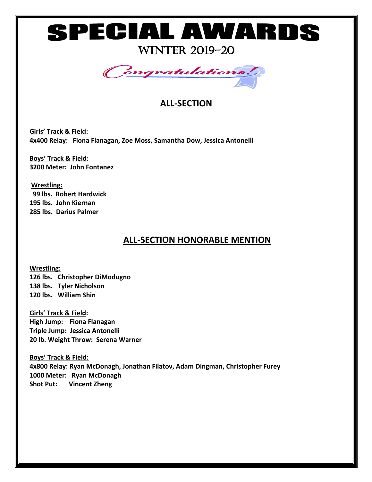# ٦

WINTER 2019-20



### **ALL-SECTION**

**Girls' Track & Field: 4x400 Relay: Fiona Flanagan, Zoe Moss, Samantha Dow, Jessica Antonelli**

**Boys' Track & Field: 3200 Meter: John Fontanez**

**Wrestling: 99 lbs. Robert Hardwick 195 lbs. John Kiernan 285 lbs. Darius Palmer** 

### **ALL-SECTION HONORABLE MENTION**

**Wrestling: 126 lbs. Christopher DiModugno 138 lbs. Tyler Nicholson 120 lbs. William Shin**

**Girls' Track & Field: High Jump: Fiona Flanagan Triple Jump: Jessica Antonelli 20 lb. Weight Throw: Serena Warner**

**Boys' Track & Field: 4x800 Relay: Ryan McDonagh, Jonathan Filatov, Adam Dingman, Christopher Furey 1000 Meter: Ryan McDonagh Shot Put: Vincent Zheng**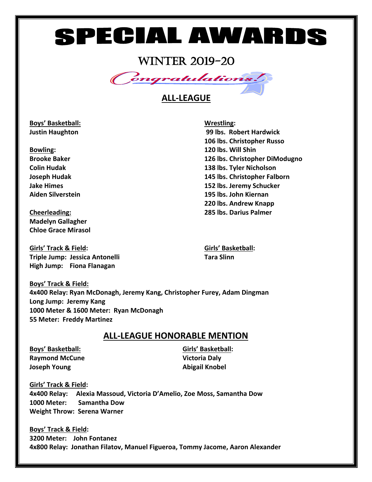## **SPECIAL AWARDS**

### WINTER 2019-20



#### **ALL-LEAGUE**

**Boys' Basketball: Wrestling:**

**Madelyn Gallagher Chloe Grace Mirasol** 

**Girls' Track & Field: Girls' Basketball: Triple Jump: Jessica Antonelli Tara Slinn High Jump: Fiona Flanagan**

**Justin Haughton 99 lbs. Robert Hardwick 106 lbs. Christopher Russo Bowling: 120 lbs. Will Shin Brooke Baker 126 lbs. Christopher DiModugno Colin Hudak 138 lbs. Tyler Nicholson Joseph Hudak 145 lbs. Christopher Falborn Jake Himes 152 lbs. Jeremy Schucker Aiden Silverstein 195 lbs. John Kiernan 220 lbs. Andrew Knapp Cheerleading: 285 lbs. Darius Palmer**

**Boys' Track & Field: 4x400 Relay: Ryan McDonagh, Jeremy Kang, Christopher Furey, Adam Dingman Long Jump: Jeremy Kang 1000 Meter & 1600 Meter: Ryan McDonagh 55 Meter: Freddy Martinez** 

#### **ALL-LEAGUE HONORABLE MENTION**

**Raymond McCune Victoria Daly Joseph Young Abigail Knobel**

**Boys' Basketball: Girls' Basketball:**

**Girls' Track & Field: 4x400 Relay: Alexia Massoud, Victoria D'Amelio, Zoe Moss, Samantha Dow 1000 Meter: Samantha Dow Weight Throw: Serena Warner**

**Boys' Track & Field: 3200 Meter: John Fontanez 4x800 Relay: Jonathan Filatov, Manuel Figueroa, Tommy Jacome, Aaron Alexander**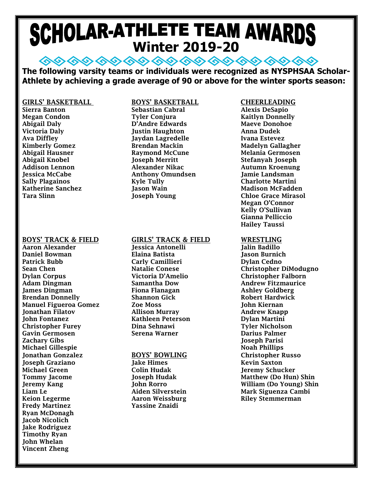# **SCHOLAR-ATHLETE TEAM AWARDS**

**◇◇◇◇◇◇◇◇◇ ◇◇◇◇◇ ◇◇ ◇◇ ◇◇◇◇ The following varsity teams or individuals were recognized as NYSPHSAA Scholar-Athlete by achieving a grade average of 90 or above for the winter sports season:**

#### Sierra Banton Sebastian Cabral Alexis DeSapio Megan Condon Tyler Conjura Kaitlyn Donnelly Abigail Daly D'Andre Edwards Maeve Donohoe Victoria Daly **Justin Haughton** Ava Diffley Jaydan Lagredelle Ivana Estevez Kimberly Gomez **Brendan Mackin** Mackin Madelyn Gallagher Abigail Hausner Raymond McCune Melania Germosen Abigail Knobel **Gost Lines Ioseph Merritt** Stefanyah Joseph Addison Lennon Alexander Nikac Autumn Kroenung Jessica McCabe Anthony Omundsen Jamie Landsman Katherine Sanchez Jason Wain Madison McFadden Tara Slinn Joseph Young Chloe Grace Mirasol

Aaron Alexander Jessica Antonelli Jalin Badillo Daniel Bowman Patrick Bubb Carly Camillieri Dylan Cedno Dylan Corpus Victoria D'Amelio Christopher Falborn Adam Dingman Samantha Dow Andrew Fitzmaurice James Dingman Fiona Flanagan Ashley Goldberg Brendan Donnelly Shannon Gick Robert Hardwick Manuel Figueroa Gomez Jonathan Filatov Allison Murray Andrew Knapp John Fontanez Kathleen Peterson Dylan Martini Christopher Furey Dina Sehnawi Tyler Nicholson Gavin Germosen Serena Warner Darius Palmer Zachary Gibs Joseph Parisi Michael Gillespie Noah Phillips Jonathan Gonzalez BOYS' BOWLING Christopher Russo **Joseph Graziano** Michael Green Colin Hudak Jeremy Schucker Liam Le **Aiden Silverstein** Mark Siguenza Cambi Keion Legerme **Aaron Weissburg Riley Stemmerman** Fredy Martinez **Yassine Znaidi** Ryan McDonagh Jacob Nicolich Jake Rodriguez Timothy Ryan John Whelan Vincent Zheng

#### GIRLS' BASKETBALL BOYS' BASKETBALL CHEERLEADING

Kyle Tully **Planet Charlotte Martini** 

#### BOYS' TRACK & FIELD GIRLS' TRACK & FIELD WRESTLING

Megan O'Connor Kelly O'Sullivan Gianna Pelliccio Hailey Taussi

Sean Chen Natalie Conese Christopher DiModugno Tommy Jacome Joseph Hudak Matthew (Do Hun) Shin Jeremy Kang John Rorro William (Do Young) Shin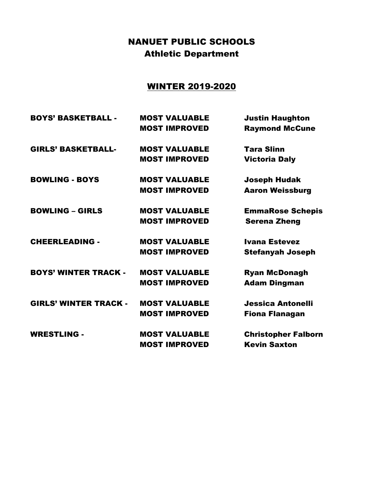### NANUET PUBLIC SCHOOLS Athletic Department

### WINTER 2019-2020

| <b>BOYS' BASKETBALL -</b>    | <b>MOST VALUABLE</b> | <b>Justin Haughton</b>     |
|------------------------------|----------------------|----------------------------|
|                              | <b>MOST IMPROVED</b> | <b>Raymond McCune</b>      |
| <b>GIRLS' BASKETBALL-</b>    | <b>MOST VALUABLE</b> | <b>Tara Slinn</b>          |
|                              | <b>MOST IMPROVED</b> | <b>Victoria Daly</b>       |
| <b>BOWLING - BOYS</b>        | <b>MOST VALUABLE</b> | <b>Joseph Hudak</b>        |
|                              | <b>MOST IMPROVED</b> | <b>Aaron Weissburg</b>     |
| <b>BOWLING - GIRLS</b>       | <b>MOST VALUABLE</b> | <b>EmmaRose Schepis</b>    |
|                              | <b>MOST IMPROVED</b> | <b>Serena Zheng</b>        |
| <b>CHEERLEADING -</b>        | <b>MOST VALUABLE</b> | <b>Ivana Estevez</b>       |
|                              | <b>MOST IMPROVED</b> | <b>Stefanyah Joseph</b>    |
| <b>BOYS' WINTER TRACK -</b>  | <b>MOST VALUABLE</b> | <b>Ryan McDonagh</b>       |
|                              | <b>MOST IMPROVED</b> | <b>Adam Dingman</b>        |
| <b>GIRLS' WINTER TRACK -</b> | <b>MOST VALUABLE</b> | <b>Jessica Antonelli</b>   |
|                              | <b>MOST IMPROVED</b> | <b>Fiona Flanagan</b>      |
| <b>WRESTLING -</b>           | <b>MOST VALUABLE</b> | <b>Christopher Falborn</b> |
|                              | <b>MOST IMPROVED</b> | <b>Kevin Saxton</b>        |